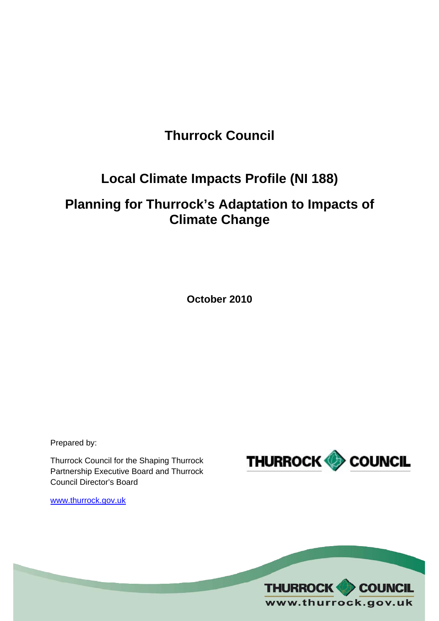# **Thurrock Council**

## **Local Climate Impacts Profile (NI 188)**

## **Planning for Thurrock's Adaptation to Impacts of Climate Change**

**October 2010** 

Prepared by:

Thurrock Council for the Shaping Thurrock Partnership Executive Board and Thurrock Council Director's Board



[www.thurrock.gov.uk](http://www.thurrock.gov.uk/)

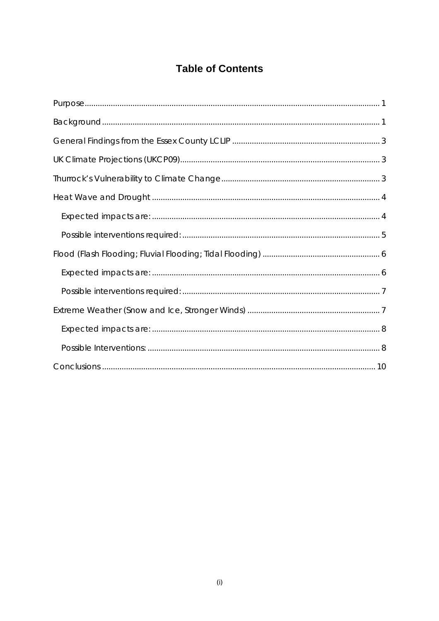## **Table of Contents**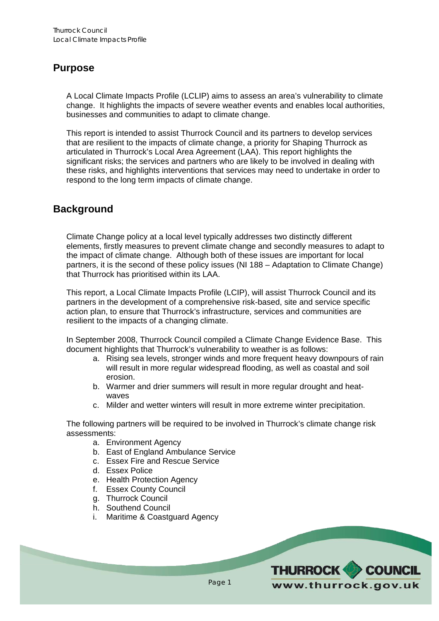#### <span id="page-2-0"></span>**Purpose**

A Local Climate Impacts Profile (LCLIP) aims to assess an area's vulnerability to climate change. It highlights the impacts of severe weather events and enables local authorities, businesses and communities to adapt to climate change.

This report is intended to assist Thurrock Council and its partners to develop services that are resilient to the impacts of climate change, a priority for Shaping Thurrock as articulated in Thurrock's Local Area Agreement (LAA). This report highlights the significant risks; the services and partners who are likely to be involved in dealing with these risks, and highlights interventions that services may need to undertake in order to respond to the long term impacts of climate change.

#### **Background**

Climate Change policy at a local level typically addresses two distinctly different elements, firstly measures to prevent climate change and secondly measures to adapt to the impact of climate change. Although both of these issues are important for local partners, it is the second of these policy issues (NI 188 – Adaptation to Climate Change) that Thurrock has prioritised within its LAA.

This report, a Local Climate Impacts Profile (LCIP), will assist Thurrock Council and its partners in the development of a comprehensive risk-based, site and service specific action plan, to ensure that Thurrock's infrastructure, services and communities are resilient to the impacts of a changing climate.

In September 2008, Thurrock Council compiled a Climate Change Evidence Base. This document highlights that Thurrock's vulnerability to weather is as follows:

- a. Rising sea levels, stronger winds and more frequent heavy downpours of rain will result in more regular widespread flooding, as well as coastal and soil erosion.
- b. Warmer and drier summers will result in more regular drought and heatwaves
- c. Milder and wetter winters will result in more extreme winter precipitation.

The following partners will be required to be involved in Thurrock's climate change risk assessments:

- a. Environment Agency
- b. East of England Ambulance Service
- c. Essex Fire and Rescue Service
- d. Essex Police
- e. Health Protection Agency
- f. Essex County Council
- g. Thurrock Council
- h. Southend Council
- i. Maritime & Coastguard Agency

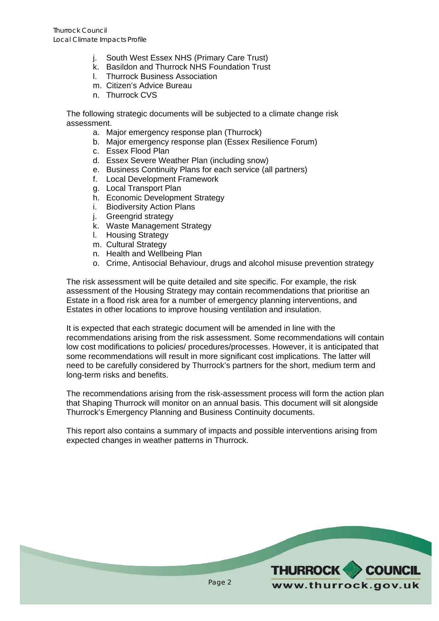- j. South West Essex NHS (Primary Care Trust)
- k. Basildon and Thurrock NHS Foundation Trust
- l. Thurrock Business Association
- m. Citizen's Advice Bureau
- n. Thurrock CVS

The following strategic documents will be subjected to a climate change risk assessment.

- a. Major emergency response plan (Thurrock)
- b. Major emergency response plan (Essex Resilience Forum)
- c. Essex Flood Plan
- d. Essex Severe Weather Plan (including snow)
- e. Business Continuity Plans for each service (all partners)
- f. Local Development Framework
- g. Local Transport Plan
- h. Economic Development Strategy
- i. Biodiversity Action Plans
- j. Greengrid strategy
- k. Waste Management Strategy
- l. Housing Strategy
- m. Cultural Strategy
- n. Health and Wellbeing Plan
- o. Crime, Antisocial Behaviour, drugs and alcohol misuse prevention strategy

The risk assessment will be quite detailed and site specific. For example, the risk assessment of the Housing Strategy may contain recommendations that prioritise an Estate in a flood risk area for a number of emergency planning interventions, and Estates in other locations to improve housing ventilation and insulation.

It is expected that each strategic document will be amended in line with the recommendations arising from the risk assessment. Some recommendations will contain low cost modifications to policies/ procedures/processes. However, it is anticipated that some recommendations will result in more significant cost implications. The latter will need to be carefully considered by Thurrock's partners for the short, medium term and long-term risks and benefits.

The recommendations arising from the risk-assessment process will form the action plan that Shaping Thurrock will monitor on an annual basis. This document will sit alongside Thurrock's Emergency Planning and Business Continuity documents.

This report also contains a summary of impacts and possible interventions arising from expected changes in weather patterns in Thurrock.

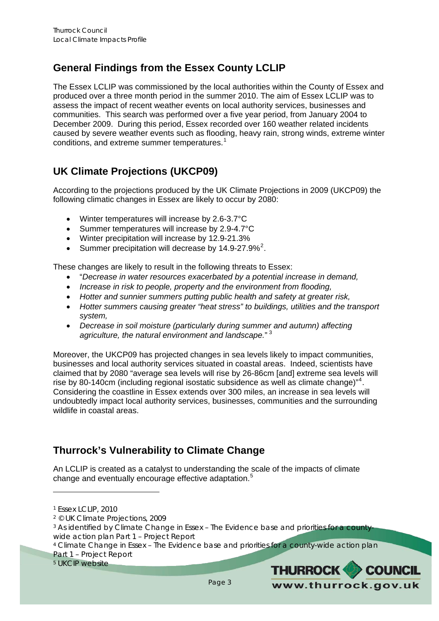## <span id="page-4-0"></span>**General Findings from the Essex County LCLIP**

The Essex LCLIP was commissioned by the local authorities within the County of Essex and produced over a three month period in the summer 2010. The aim of Essex LCLIP was to assess the impact of recent weather events on local authority services, businesses and communities. This search was performed over a five year period, from January 2004 to December 2009. During this period, Essex recorded over 160 weather related incidents caused by severe weather events such as flooding, heavy rain, strong winds, extreme winter conditions, and extreme summer temperatures.<sup>[1](#page-4-1)</sup>

## **UK Climate Projections (UKCP09)**

According to the projections produced by the UK Climate Projections in 2009 (UKCP09) the following climatic changes in Essex are likely to occur by 2080:

- Winter temperatures will increase by 2.6-3.7°C
- Summer temperatures will increase by 2.9-4.7°C
- Winter precipitation will increase by 12.9-21.3%
- Summer precipitation will decrease by  $14.9 27.9\%^2$  $14.9 27.9\%^2$  $14.9 27.9\%^2$ .

These changes are likely to result in the following threats to Essex:

- "*Decrease in water resources exacerbated by a potential increase in demand,*
- *Increase in risk to people, property and the environment from flooding,*
- *Hotter and sunnier summers putting public health and safety at greater risk,*
- *Hotter summers causing greater "heat stress" to buildings, utilities and the transport system,*
- *Decrease in soil moisture (particularly during summer and autumn) affecting agriculture, the natural environment and landscape.*" [3](#page-4-3)

Moreover, the UKCP09 has projected changes in sea levels likely to impact communities, businesses and local authority services situated in coastal areas. Indeed, scientists have claimed that by 2080 "average sea levels will rise by 26-86cm [and] extreme sea levels will rise by 80-1[4](#page-4-4)0cm (including regional isostatic subsidence as well as climate change)"<sup>4</sup>. Considering the coastline in Essex extends over 300 miles, an increase in sea levels will undoubtedly impact local authority services, businesses, communities and the surrounding wildlife in coastal areas.

## **Thurrock's Vulnerability to Climate Change**

An LCLIP is created as a catalyst to understanding the scale of the impacts of climate change and eventually encourage effective adaptation.<sup>[5](#page-4-5)</sup>



<span id="page-4-1"></span><sup>1</sup> Essex LCLIP, 2010

<span id="page-4-2"></span><sup>2 ©</sup> UK Climate Projections, 2009

<span id="page-4-3"></span><sup>3</sup> As identified by *Climate Change in Essex – The Evidence base and priorities for a countywide action plan Part 1 – Project Report*

<span id="page-4-4"></span><sup>4</sup> *Climate Change in Essex – The Evidence base and priorities for a county-wide action plan Part 1 – Project Report*

<span id="page-4-5"></span><sup>5</sup> UKCIP website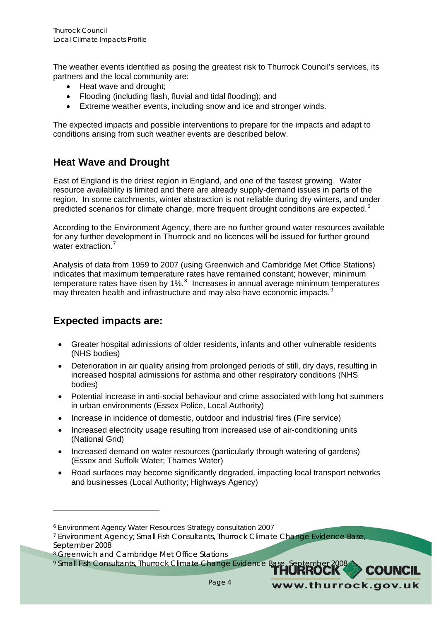<span id="page-5-0"></span>The weather events identified as posing the greatest risk to Thurrock Council's services, its partners and the local community are:

- Heat wave and drought:
- Flooding (including flash, fluvial and tidal flooding); and
- Extreme weather events, including snow and ice and stronger winds.

The expected impacts and possible interventions to prepare for the impacts and adapt to conditions arising from such weather events are described below.

#### **Heat Wave and Drought**

East of England is the driest region in England, and one of the fastest growing. Water resource availability is limited and there are already supply-demand issues in parts of the region. In some catchments, winter abstraction is not reliable during dry winters, and under predicted scenarios for climate change, more frequent drought conditions are expected.<sup>[6](#page-5-1)</sup>

According to the Environment Agency, there are no further ground water resources available for any further development in Thurrock and no licences will be issued for further ground water extraction.<sup>[7](#page-5-2)</sup>

Analysis of data from 1959 to 2007 (using Greenwich and Cambridge Met Office Stations) indicates that maximum temperature rates have remained constant; however, minimum temperature rates have risen by 1%. $8$  Increases in annual average minimum temperatures may threaten health and infrastructure and may also have economic impacts.<sup>[9](#page-5-4)</sup>

#### **Expected impacts are:**

- Greater hospital admissions of older residents, infants and other vulnerable residents (NHS bodies)
- Deterioration in air quality arising from prolonged periods of still, dry days, resulting in increased hospital admissions for asthma and other respiratory conditions (NHS bodies)
- Potential increase in anti-social behaviour and crime associated with long hot summers in urban environments (Essex Police, Local Authority)
- Increase in incidence of domestic, outdoor and industrial fires (Fire service)
- Increased electricity usage resulting from increased use of air-conditioning units (National Grid)
- Increased demand on water resources (particularly through watering of gardens) (Essex and Suffolk Water; Thames Water)
- Road surfaces may become significantly degraded, impacting local transport networks and businesses (Local Authority; Highways Agency)

www.thurrock.gov.uk

<span id="page-5-1"></span><sup>6</sup> Environment Agency Water Resources Strategy consultation 2007

<span id="page-5-2"></span><sup>7</sup> Environment Agency; Small Fish Consultants, *Thurrock Climate Change Evidence Base*, September 2008

<span id="page-5-3"></span><sup>&</sup>lt;sup>8</sup> Greenwich and Cambridge Met Office Stations

<span id="page-5-4"></span><sup>9</sup> Small Fish Consultants, *Thurrock Climate Change Evidence Base*, September 2008 **COUNCIL**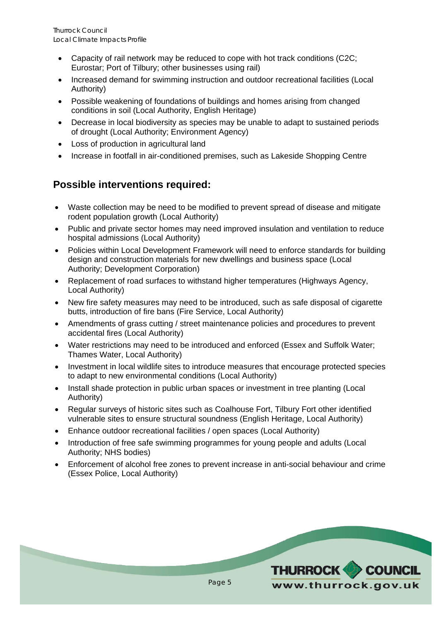- <span id="page-6-0"></span>• Capacity of rail network may be reduced to cope with hot track conditions (C2C; Eurostar; Port of Tilbury; other businesses using rail)
- Increased demand for swimming instruction and outdoor recreational facilities (Local Authority)
- Possible weakening of foundations of buildings and homes arising from changed conditions in soil (Local Authority, English Heritage)
- Decrease in local biodiversity as species may be unable to adapt to sustained periods of drought (Local Authority; Environment Agency)
- Loss of production in agricultural land
- Increase in footfall in air-conditioned premises, such as Lakeside Shopping Centre

## **Possible interventions required:**

- Waste collection may be need to be modified to prevent spread of disease and mitigate rodent population growth (Local Authority)
- Public and private sector homes may need improved insulation and ventilation to reduce hospital admissions (Local Authority)
- Policies within Local Development Framework will need to enforce standards for building design and construction materials for new dwellings and business space (Local Authority; Development Corporation)
- Replacement of road surfaces to withstand higher temperatures (Highways Agency, Local Authority)
- New fire safety measures may need to be introduced, such as safe disposal of cigarette butts, introduction of fire bans (Fire Service, Local Authority)
- Amendments of grass cutting / street maintenance policies and procedures to prevent accidental fires (Local Authority)
- Water restrictions may need to be introduced and enforced (Essex and Suffolk Water; Thames Water, Local Authority)
- Investment in local wildlife sites to introduce measures that encourage protected species to adapt to new environmental conditions (Local Authority)
- Install shade protection in public urban spaces or investment in tree planting (Local Authority)
- Regular surveys of historic sites such as Coalhouse Fort, Tilbury Fort other identified vulnerable sites to ensure structural soundness (English Heritage, Local Authority)
- Enhance outdoor recreational facilities / open spaces (Local Authority)
- Introduction of free safe swimming programmes for young people and adults (Local Authority; NHS bodies)
- Enforcement of alcohol free zones to prevent increase in anti-social behaviour and crime (Essex Police, Local Authority)

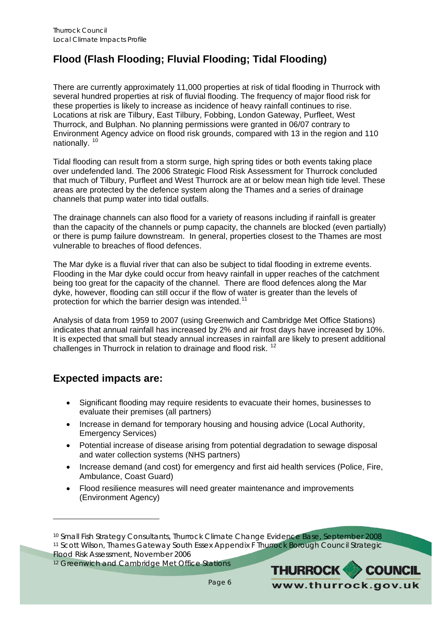## <span id="page-7-0"></span>**Flood (Flash Flooding; Fluvial Flooding; Tidal Flooding)**

There are currently approximately 11,000 properties at risk of tidal flooding in Thurrock with several hundred properties at risk of fluvial flooding. The frequency of major flood risk for these properties is likely to increase as incidence of heavy rainfall continues to rise. Locations at risk are Tilbury, East Tilbury, Fobbing, London Gateway, Purfleet, West Thurrock, and Bulphan. No planning permissions were granted in 06/07 contrary to Environment Agency advice on flood risk grounds, compared with 13 in the region and 110 nationally. [10](#page-7-1)

Tidal flooding can result from a storm surge, high spring tides or both events taking place over undefended land. The 2006 Strategic Flood Risk Assessment for Thurrock concluded that much of Tilbury, Purfleet and West Thurrock are at or below mean high tide level. These areas are protected by the defence system along the Thames and a series of drainage channels that pump water into tidal outfalls.

The drainage channels can also flood for a variety of reasons including if rainfall is greater than the capacity of the channels or pump capacity, the channels are blocked (even partially) or there is pump failure downstream. In general, properties closest to the Thames are most vulnerable to breaches of flood defences.

The Mar dyke is a fluvial river that can also be subject to tidal flooding in extreme events. Flooding in the Mar dyke could occur from heavy rainfall in upper reaches of the catchment being too great for the capacity of the channel. There are flood defences along the Mar dyke, however, flooding can still occur if the flow of water is greater than the levels of protection for which the barrier design was intended.<sup>[11](#page-7-2)</sup>

Analysis of data from 1959 to 2007 (using Greenwich and Cambridge Met Office Stations) indicates that annual rainfall has increased by 2% and air frost days have increased by 10%. It is expected that small but steady annual increases in rainfall are likely to present additional challenges in Thurrock in relation to drainage and flood risk. [12](#page-7-3)

#### **Expected impacts are:**

- Significant flooding may require residents to evacuate their homes, businesses to evaluate their premises (all partners)
- Increase in demand for temporary housing and housing advice (Local Authority, Emergency Services)
- Potential increase of disease arising from potential degradation to sewage disposal and water collection systems (NHS partners)
- Increase demand (and cost) for emergency and first aid health services (Police, Fire, Ambulance, Coast Guard)
- Flood resilience measures will need greater maintenance and improvements (Environment Agency)

<span id="page-7-3"></span><sup>12</sup> Greenwich and Cambridge Met Office Stations



<span id="page-7-2"></span><span id="page-7-1"></span><sup>10</sup> Small Fish Strategy Consultants, *Thurrock Climate Change Evidence Base*, September 2008 11 Scott Wilson, *Thames Gateway South Essex Appendix F Thurrock Borough Council Strategic Flood Risk Assessment*, November 2006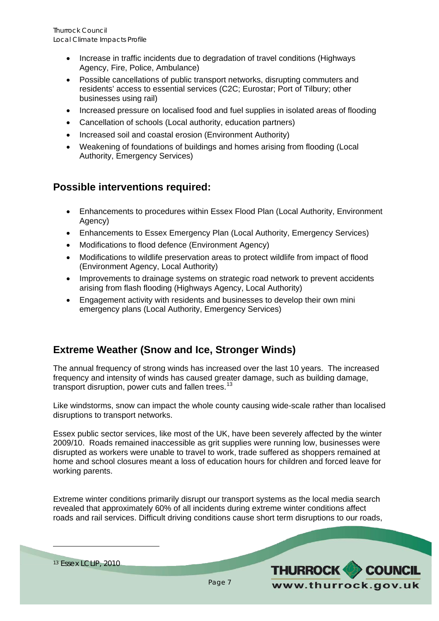- <span id="page-8-0"></span>• Increase in traffic incidents due to degradation of travel conditions (Highways Agency, Fire, Police, Ambulance)
- Possible cancellations of public transport networks, disrupting commuters and residents' access to essential services (C2C; Eurostar; Port of Tilbury; other businesses using rail)
- Increased pressure on localised food and fuel supplies in isolated areas of flooding
- Cancellation of schools (Local authority, education partners)
- Increased soil and coastal erosion (Environment Authority)
- Weakening of foundations of buildings and homes arising from flooding (Local Authority, Emergency Services)

#### **Possible interventions required:**

- Enhancements to procedures within Essex Flood Plan (Local Authority, Environment Agency)
- Enhancements to Essex Emergency Plan (Local Authority, Emergency Services)
- Modifications to flood defence (Environment Agency)
- Modifications to wildlife preservation areas to protect wildlife from impact of flood (Environment Agency, Local Authority)
- Improvements to drainage systems on strategic road network to prevent accidents arising from flash flooding (Highways Agency, Local Authority)
- Engagement activity with residents and businesses to develop their own mini emergency plans (Local Authority, Emergency Services)

#### **Extreme Weather (Snow and Ice, Stronger Winds)**

The annual frequency of strong winds has increased over the last 10 years. The increased frequency and intensity of winds has caused greater damage, such as building damage, transport disruption, power cuts and fallen trees.<sup>[13](#page-8-1)</sup>

Like windstorms, snow can impact the whole county causing wide-scale rather than localised disruptions to transport networks.

Essex public sector services, like most of the UK, have been severely affected by the winter 2009/10. Roads remained inaccessible as grit supplies were running low, businesses were disrupted as workers were unable to travel to work, trade suffered as shoppers remained at home and school closures meant a loss of education hours for children and forced leave for working parents.

Extreme winter conditions primarily disrupt our transport systems as the local media search revealed that approximately 60% of all incidents during extreme winter conditions affect roads and rail services. Difficult driving conditions cause short term disruptions to our roads,

<span id="page-8-1"></span>13 Essex LCLIP, 2010

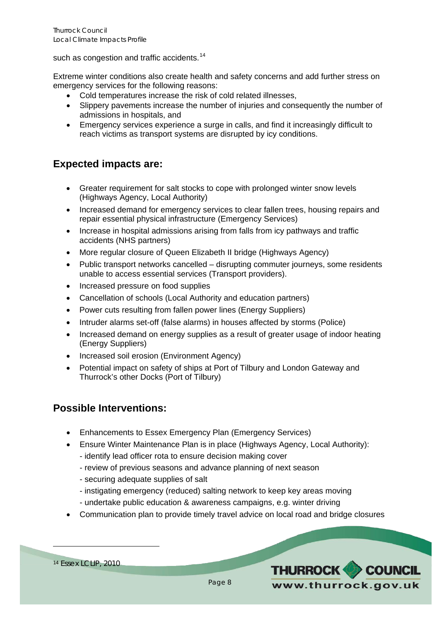<span id="page-9-0"></span>such as congestion and traffic accidents.<sup>[14](#page-9-1)</sup>

Extreme winter conditions also create health and safety concerns and add further stress on emergency services for the following reasons:

- Cold temperatures increase the risk of cold related illnesses,
- Slippery pavements increase the number of injuries and consequently the number of admissions in hospitals, and
- Emergency services experience a surge in calls, and find it increasingly difficult to reach victims as transport systems are disrupted by icy conditions.

### **Expected impacts are:**

- Greater requirement for salt stocks to cope with prolonged winter snow levels (Highways Agency, Local Authority)
- Increased demand for emergency services to clear fallen trees, housing repairs and repair essential physical infrastructure (Emergency Services)
- Increase in hospital admissions arising from falls from icy pathways and traffic accidents (NHS partners)
- More regular closure of Queen Elizabeth II bridge (Highways Agency)
- Public transport networks cancelled disrupting commuter journeys, some residents unable to access essential services (Transport providers).
- Increased pressure on food supplies
- Cancellation of schools (Local Authority and education partners)
- Power cuts resulting from fallen power lines (Energy Suppliers)
- Intruder alarms set-off (false alarms) in houses affected by storms (Police)
- Increased demand on energy supplies as a result of greater usage of indoor heating (Energy Suppliers)
- Increased soil erosion (Environment Agency)
- Potential impact on safety of ships at Port of Tilbury and London Gateway and Thurrock's other Docks (Port of Tilbury)

#### **Possible Interventions:**

- Enhancements to Essex Emergency Plan (Emergency Services)
- Ensure Winter Maintenance Plan is in place (Highways Agency, Local Authority):
	- identify lead officer rota to ensure decision making cover
	- review of previous seasons and advance planning of next season
	- securing adequate supplies of salt
	- instigating emergency (reduced) salting network to keep key areas moving
	- undertake public education & awareness campaigns, e.g. winter driving
- Communication plan to provide timely travel advice on local road and bridge closures



<span id="page-9-1"></span>14 Essex LCLIP, 2010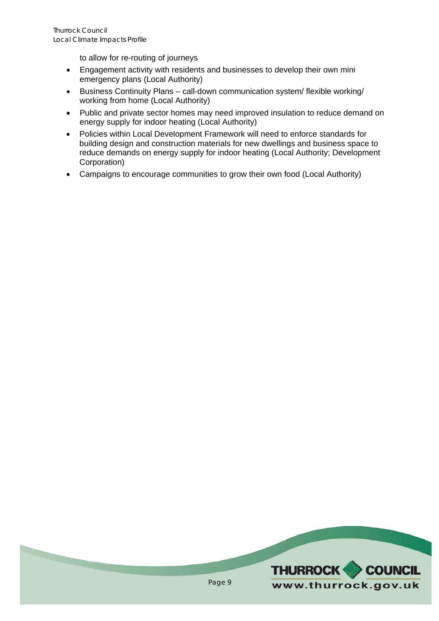to allow for re-routing of journeys

- Engagement activity with residents and businesses to develop their own mini emergency plans (Local Authority)
- Business Continuity Plans call-down communication system/ flexible working/ working from home (Local Authority)
- Public and private sector homes may need improved insulation to reduce demand on energy supply for indoor heating (Local Authority)
- Policies within Local Development Framework will need to enforce standards for building design and construction materials for new dwellings and business space to reduce demands on energy supply for indoor heating (Local Authority; Development Corporation)
- Campaigns to encourage communities to grow their own food (Local Authority)